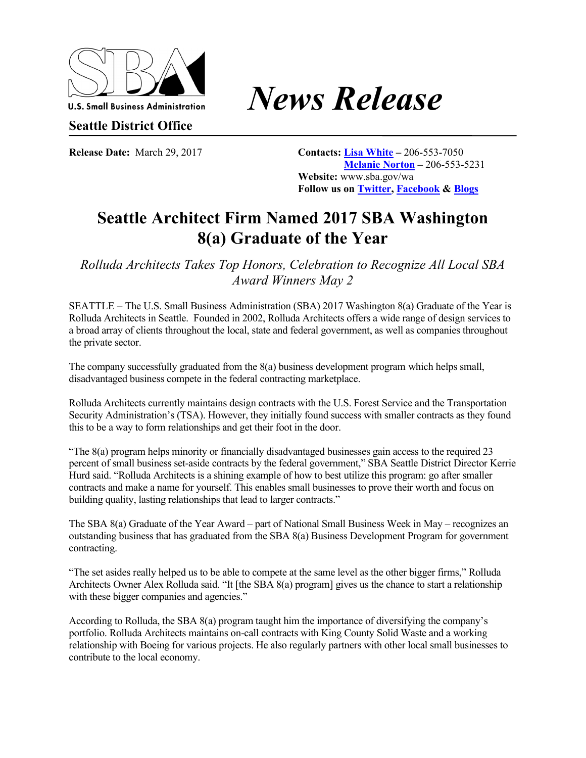

## U.S. Small Business Administration **News** Release

**Seattle District Office** 

**Release Date:** March 29, 2017 **Contacts: Lisa White** – 206-553-7050 **Melanie Norton –** 206-553-5231 **Website:** www.sba.gov/wa **Follow us on Twitter, Facebook & Blogs**

## **Seattle Architect Firm Named 2017 SBA Washington 8(a) Graduate of the Year**

*Rolluda Architects Takes Top Honors, Celebration to Recognize All Local SBA Award Winners May 2* 

SEATTLE – The U.S. Small Business Administration (SBA) 2017 Washington 8(a) Graduate of the Year is Rolluda Architects in Seattle. Founded in 2002, Rolluda Architects offers a wide range of design services to a broad array of clients throughout the local, state and federal government, as well as companies throughout the private sector.

The company successfully graduated from the 8(a) business development program which helps small, disadvantaged business compete in the federal contracting marketplace.

Rolluda Architects currently maintains design contracts with the U.S. Forest Service and the Transportation Security Administration's (TSA). However, they initially found success with smaller contracts as they found this to be a way to form relationships and get their foot in the door.

"The 8(a) program helps minority or financially disadvantaged businesses gain access to the required 23 percent of small business set-aside contracts by the federal government," SBA Seattle District Director Kerrie Hurd said. "Rolluda Architects is a shining example of how to best utilize this program: go after smaller contracts and make a name for yourself. This enables small businesses to prove their worth and focus on building quality, lasting relationships that lead to larger contracts."

The SBA 8(a) Graduate of the Year Award – part of National Small Business Week in May – recognizes an outstanding business that has graduated from the SBA 8(a) Business Development Program for government contracting.

"The set asides really helped us to be able to compete at the same level as the other bigger firms," Rolluda Architects Owner Alex Rolluda said. "It [the SBA 8(a) program] gives us the chance to start a relationship with these bigger companies and agencies."

According to Rolluda, the SBA 8(a) program taught him the importance of diversifying the company's portfolio. Rolluda Architects maintains on-call contracts with King County Solid Waste and a working relationship with Boeing for various projects. He also regularly partners with other local small businesses to contribute to the local economy.